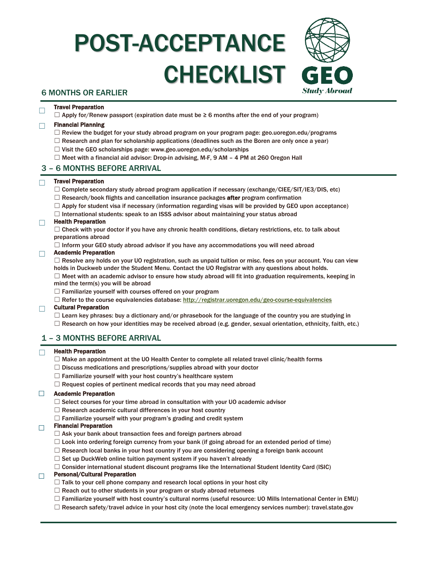# POST-ACCEPTANCE CHECKLIST



## 6 MONTHS OR EARLIER

#### ☐ Travel Preparation

 $\Box$  Apply for/Renew passport (expiration date must be  $\geq 6$  months after the end of your program)

## ☐ Financial Planning

- $\Box$  Review the budget for your study abroad program on your program page: geo.uoregon.edu/programs
- $\Box$  Research and plan for scholarship applications (deadlines such as the Boren are only once a year)
- ☐ Visit the GEO scholarships page: www.geo.uoregon.edu/scholarships
- $\Box$  Meet with a financial aid advisor: Drop-in advising, M-F, 9 AM 4 PM at 260 Oregon Hall

## 3 – 6 MONTHS BEFORE ARRIVAL

#### ☐ Travel Preparation

- $\Box$  Complete secondary study abroad program application if necessary (exchange/CIEE/SIT/IE3/DIS, etc)
- $\Box$  Research/book flights and cancellation insurance packages **after** program confirmation
- $\Box$  Apply for student visa if necessary (information regarding visas will be provided by GEO upon acceptance)
- □ International students: speak to an ISSS advisor about maintaining your status abroad

#### $\Box$  Health Preparation

 $\Box$  Check with your doctor if you have any chronic health conditions, dietary restrictions, etc. to talk about preparations abroad

☐ Inform your GEO study abroad advisor if you have any accommodations you will need abroad

#### ☐ Academic Preparation

□ Resolve any holds on your UO registration, such as unpaid tuition or misc. fees on your account. You can view holds in Duckweb under the Student Menu. Contact the UO Registrar with any questions about holds.

☐ Meet with an academic advisor to ensure how study abroad will fit into graduation requirements, keeping in mind the term(s) you will be abroad

- 
- $\Box$  Familiarize yourself with courses offered on your program
- □ Refer to the course equivalencies database: <http://registrar.uoregon.edu/geo-course-equivalencies>

#### ☐ Cultural Preparation

- $\Box$  Learn key phrases: buy a dictionary and/or phrasebook for the language of the country you are studying in
- $\Box$  Research on how your identities may be received abroad (e.g. gender, sexual orientation, ethnicity, faith, etc.)

## 1 – 3 MONTHS BEFORE ARRIVAL

#### ☐ Health Preparation

- $\Box$  Make an appointment at the UO Health Center to complete all related travel clinic/health forms
- $\Box$  Discuss medications and prescriptions/supplies abroad with your doctor
- $\Box$  Familiarize yourself with your host country's healthcare system
- $\Box$  Request copies of pertinent medical records that you may need abroad

#### ☐ Academic Preparation

- $\Box$  Select courses for your time abroad in consultation with your UO academic advisor
- $\Box$  Research academic cultural differences in your host country
- $\Box$  Familiarize yourself with your program's grading and credit system

#### $\Box$  Financial Preparation

- $\Box$  Ask your bank about transaction fees and foreign partners abroad
- $\Box$  Look into ordering foreign currency from your bank (if going abroad for an extended period of time)
- $\Box$  Research local banks in your host country if you are considering opening a foreign bank account
- $\Box$  Set up DuckWeb online tuition payment system if you haven't already
- $\Box$  Consider international student discount programs like the International Student Identity Card (ISIC)

#### ☐ Personal/Cultural Preparation

- $\Box$  Talk to your cell phone company and research local options in your host city
- $\Box$  Reach out to other students in your program or study abroad returnees
- ☐ Familiarize yourself with host country's cultural norms (useful resource: UO Mills International Center in EMU)
- □ Research safety/travel advice in your host city (note the local emergency services number): travel.state.gov